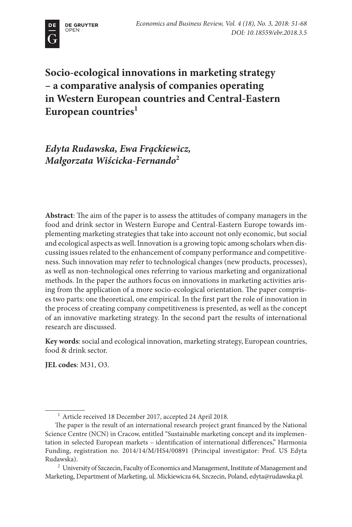

**Socio-ecological innovations in marketing strategy – a comparative analysis of companies operating in Western European countries and Central-Eastern**  European countries<sup>1</sup>

*Edyta Rudawska, Ewa Frąckiewicz, Małgorzata Wiścicka-Fernando***<sup>2</sup>**

**Abstract**: The aim of the paper is to assess the attitudes of company managers in the food and drink sector in Western Europe and Central-Eastern Europe towards implementing marketing strategies that take into account not only economic, but social and ecological aspects as well. Innovation is a growing topic among scholars when discussing issues related to the enhancement of company performance and competitiveness. Such innovation may refer to technological changes (new products, processes), as well as non-technological ones referring to various marketing and organizational methods. In the paper the authors focus on innovations in marketing activities arising from the application of a more socio-ecological orientation. The paper comprises two parts: one theoretical, one empirical. In the first part the role of innovation in the process of creating company competitiveness is presented, as well as the concept of an innovative marketing strategy. In the second part the results of international research are discussed.

**Key words**: social and ecological innovation, marketing strategy, European countries, food & drink sector.

**JEL codes**: M31, O3.

<sup>1</sup> Article received 18 December 2017, accepted 24 April 2018.

The paper is the result of an international research project grant financed by the National Science Centre (NCN) in Cracow, entitled "Sustainable marketing concept and its implementation in selected European markets – identification of international differences," Harmonia Funding, registration no. 2014/14/M/HS4/00891 (Principal investigator: Prof. US Edyta Rudawska).

<sup>2</sup> University of Szczecin, Faculty of Economics and Management, Institute of Management and Marketing, Department of Marketing, ul. Mickiewicza 64, Szczecin, Poland, edyta@rudawska.pl.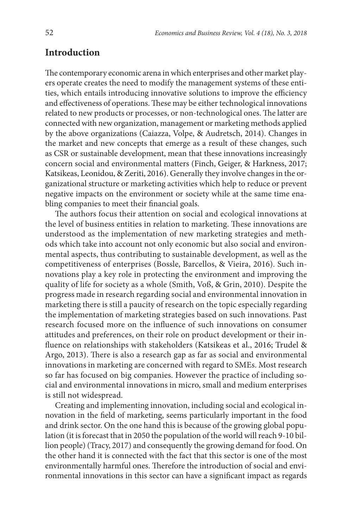# **Introduction**

The contemporary economic arena in which enterprises and other market players operate creates the need to modify the management systems of these entities, which entails introducing innovative solutions to improve the efficiency and effectiveness of operations. These may be either technological innovations related to new products or processes, or non-technological ones. The latter are connected with new organization, management or marketing methods applied by the above organizations (Caiazza, Volpe, & Audretsch, 2014). Changes in the market and new concepts that emerge as a result of these changes, such as CSR or sustainable development, mean that these innovations increasingly concern social and environmental matters (Finch, Geiger, & Harkness, 2017; Katsikeas, Leonidou, & Zeriti, 2016). Generally they involve changes in the organizational structure or marketing activities which help to reduce or prevent negative impacts on the environment or society while at the same time enabling companies to meet their financial goals.

The authors focus their attention on social and ecological innovations at the level of business entities in relation to marketing. These innovations are understood as the implementation of new marketing strategies and methods which take into account not only economic but also social and environmental aspects, thus contributing to sustainable development, as well as the competitiveness of enterprises (Bossle, Barcellos, & Vieira, 2016). Such innovations play a key role in protecting the environment and improving the quality of life for society as a whole (Smith, Voß, & Grin, 2010). Despite the progress made in research regarding social and environmental innovation in marketing there is still a paucity of research on the topic especially regarding the implementation of marketing strategies based on such innovations. Past research focused more on the influence of such innovations on consumer attitudes and preferences, on their role on product development or their influence on relationships with stakeholders (Katsikeas et al., 2016; Trudel & Argo, 2013). There is also a research gap as far as social and environmental innovations in marketing are concerned with regard to SMEs. Most research so far has focused on big companies. However the practice of including social and environmental innovations in micro, small and medium enterprises is still not widespread.

Creating and implementing innovation, including social and ecological innovation in the field of marketing, seems particularly important in the food and drink sector. On the one hand this is because of the growing global population (it is forecast that in 2050 the population of the world will reach 9-10 billion people) (Tracy, 2017) and consequently the growing demand for food. On the other hand it is connected with the fact that this sector is one of the most environmentally harmful ones. Therefore the introduction of social and environmental innovations in this sector can have a significant impact as regards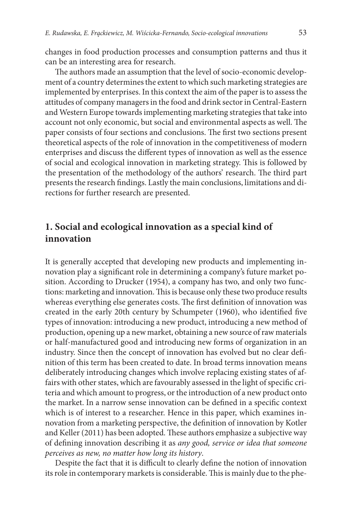changes in food production processes and consumption patterns and thus it can be an interesting area for research.

The authors made an assumption that the level of socio-economic development of a country determines the extent to which such marketing strategies are implemented by enterprises. In this context the aim of the paper is to assess the attitudes of company managers in the food and drink sector in Central-Eastern and Western Europe towards implementing marketing strategies that take into account not only economic, but social and environmental aspects as well. The paper consists of four sections and conclusions. The first two sections present theoretical aspects of the role of innovation in the competitiveness of modern enterprises and discuss the different types of innovation as well as the essence of social and ecological innovation in marketing strategy. This is followed by the presentation of the methodology of the authors' research. The third part presents the research findings. Lastly the main conclusions, limitations and directions for further research are presented.

# **1. Social and ecological innovation as a special kind of innovation**

It is generally accepted that developing new products and implementing innovation play a significant role in determining a company's future market position. According to Drucker (1954), a company has two, and only two functions: marketing and innovation. This is because only these two produce results whereas everything else generates costs. The first definition of innovation was created in the early 20th century by Schumpeter (1960), who identified five types of innovation: introducing a new product, introducing a new method of production, opening up a new market, obtaining a new source of raw materials or half-manufactured good and introducing new forms of organization in an industry. Since then the concept of innovation has evolved but no clear definition of this term has been created to date. In broad terms innovation means deliberately introducing changes which involve replacing existing states of affairs with other states, which are favourably assessed in the light of specific criteria and which amount to progress, or the introduction of a new product onto the market. In a narrow sense innovation can be defined in a specific context which is of interest to a researcher. Hence in this paper, which examines innovation from a marketing perspective, the definition of innovation by Kotler and Keller (2011) has been adopted. These authors emphasize a subjective way of defining innovation describing it as *any good, service or idea that someone perceives as new, no matter how long its history*.

Despite the fact that it is difficult to clearly define the notion of innovation its role in contemporary markets is considerable. This is mainly due to the phe-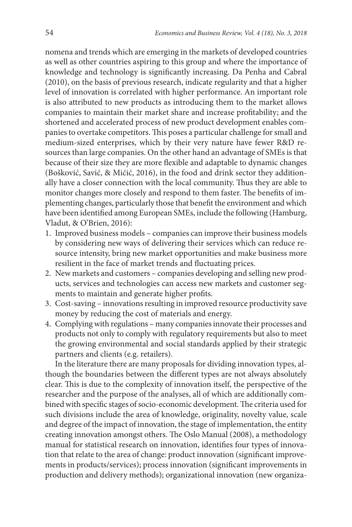nomena and trends which are emerging in the markets of developed countries as well as other countries aspiring to this group and where the importance of knowledge and technology is significantly increasing. Da Penha and Cabral (2010), on the basis of previous research, indicate regularity and that a higher level of innovation is correlated with higher performance. An important role is also attributed to new products as introducing them to the market allows companies to maintain their market share and increase profitability; and the shortened and accelerated process of new product development enables companies to overtake competitors. This poses a particular challenge for small and medium-sized enterprises, which by their very nature have fewer R&D resources than large companies. On the other hand an advantage of SMEs is that because of their size they are more flexible and adaptable to dynamic changes (Bošković, Savić, & Mićić, 2016), in the food and drink sector they additionally have a closer connection with the local community. Thus they are able to monitor changes more closely and respond to them faster. The benefits of implementing changes, particularly those that benefit the environment and which have been identified among European SMEs, include the following (Hamburg, Vladut, & O'Brien, 2016):

- 1. Improved business models companies can improve their business models by considering new ways of delivering their services which can reduce resource intensity, bring new market opportunities and make business more resilient in the face of market trends and fluctuating prices.
- 2. New markets and customers companies developing and selling new products, services and technologies can access new markets and customer segments to maintain and generate higher profits.
- 3. Cost-saving innovations resulting in improved resource productivity save money by reducing the cost of materials and energy.
- 4. Complying with regulations many companies innovate their processes and products not only to comply with regulatory requirements but also to meet the growing environmental and social standards applied by their strategic partners and clients (e.g. retailers).

In the literature there are many proposals for dividing innovation types, although the boundaries between the different types are not always absolutely clear. This is due to the complexity of innovation itself, the perspective of the researcher and the purpose of the analyses, all of which are additionally combined with specific stages of socio-economic development. The criteria used for such divisions include the area of knowledge, originality, novelty value, scale and degree of the impact of innovation, the stage of implementation, the entity creating innovation amongst others. The Oslo Manual (2008), a methodology manual for statistical research on innovation, identifies four types of innovation that relate to the area of change: product innovation (significant improvements in products/services); process innovation (significant improvements in production and delivery methods); organizational innovation (new organiza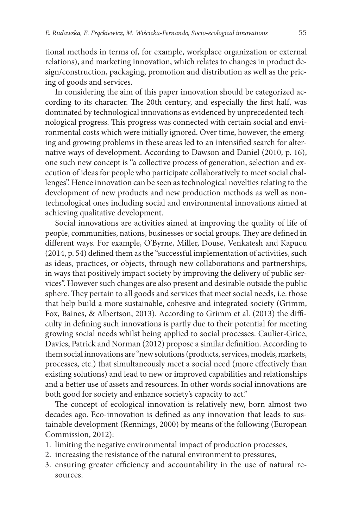tional methods in terms of, for example, workplace organization or external relations), and marketing innovation, which relates to changes in product design/construction, packaging, promotion and distribution as well as the pricing of goods and services.

In considering the aim of this paper innovation should be categorized according to its character. The 20th century, and especially the first half, was dominated by technological innovations as evidenced by unprecedented technological progress. This progress was connected with certain social and environmental costs which were initially ignored. Over time, however, the emerging and growing problems in these areas led to an intensified search for alternative ways of development. According to Dawson and Daniel (2010, p. 16), one such new concept is "a collective process of generation, selection and execution of ideas for people who participate collaboratively to meet social challenges". Hence innovation can be seen as technological novelties relating to the development of new products and new production methods as well as nontechnological ones including social and environmental innovations aimed at achieving qualitative development.

Social innovations are activities aimed at improving the quality of life of people, communities, nations, businesses or social groups. They are defined in different ways. For example, O'Byrne, Miller, Douse, Venkatesh and Kapucu (2014, p. 54) defined them as the "successful implementation of activities, such as ideas, practices, or objects, through new collaborations and partnerships, in ways that positively impact society by improving the delivery of public services". However such changes are also present and desirable outside the public sphere. They pertain to all goods and services that meet social needs, i.e. those that help build a more sustainable, cohesive and integrated society (Grimm, Fox, Baines, & Albertson, 2013). According to Grimm et al. (2013) the difficulty in defining such innovations is partly due to their potential for meeting growing social needs whilst being applied to social processes. Caulier-Grice, Davies, Patrick and Norman (2012) propose a similar definition. According to them social innovations are "new solutions (products, services, models, markets, processes, etc.) that simultaneously meet a social need (more effectively than existing solutions) and lead to new or improved capabilities and relationships and a better use of assets and resources. In other words social innovations are both good for society and enhance society's capacity to act."

The concept of ecological innovation is relatively new, born almost two decades ago. Eco-innovation is defined as any innovation that leads to sustainable development (Rennings, 2000) by means of the following (European Commission, 2012):

- 1. limiting the negative environmental impact of production processes,
- 2. increasing the resistance of the natural environment to pressures,
- 3. ensuring greater efficiency and accountability in the use of natural resources.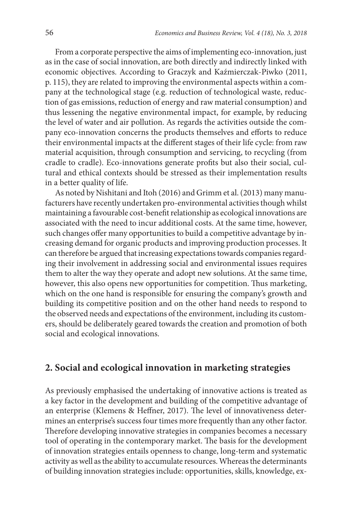From a corporate perspective the aims of implementing eco-innovation, just as in the case of social innovation, are both directly and indirectly linked with economic objectives. According to Graczyk and Kaźmierczak-Piwko (2011, p. 115), they are related to improving the environmental aspects within a company at the technological stage (e.g. reduction of technological waste, reduction of gas emissions, reduction of energy and raw material consumption) and thus lessening the negative environmental impact, for example, by reducing the level of water and air pollution. As regards the activities outside the company eco-innovation concerns the products themselves and efforts to reduce their environmental impacts at the different stages of their life cycle: from raw material acquisition, through consumption and servicing, to recycling (from cradle to cradle). Eco-innovations generate profits but also their social, cultural and ethical contexts should be stressed as their implementation results in a better quality of life.

As noted by Nishitani and Itoh (2016) and Grimm et al. (2013) many manufacturers have recently undertaken pro-environmental activities though whilst maintaining a favourable cost-benefit relationship as ecological innovations are associated with the need to incur additional costs. At the same time, however, such changes offer many opportunities to build a competitive advantage by increasing demand for organic products and improving production processes. It can therefore be argued that increasing expectations towards companies regarding their involvement in addressing social and environmental issues requires them to alter the way they operate and adopt new solutions. At the same time, however, this also opens new opportunities for competition. Thus marketing, which on the one hand is responsible for ensuring the company's growth and building its competitive position and on the other hand needs to respond to the observed needs and expectations of the environment, including its customers, should be deliberately geared towards the creation and promotion of both social and ecological innovations.

### **2. Social and ecological innovation in marketing strategies**

As previously emphasised the undertaking of innovative actions is treated as a key factor in the development and building of the competitive advantage of an enterprise (Klemens & Heffner, 2017). The level of innovativeness determines an enterprise's success four times more frequently than any other factor. Therefore developing innovative strategies in companies becomes a necessary tool of operating in the contemporary market. The basis for the development of innovation strategies entails openness to change, long-term and systematic activity as well as the ability to accumulate resources. Whereas the determinants of building innovation strategies include: opportunities, skills, knowledge, ex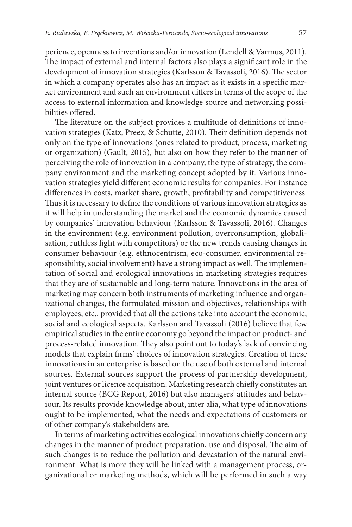perience, openness to inventions and/or innovation (Lendell & Varmus, 2011). The impact of external and internal factors also plays a significant role in the development of innovation strategies (Karlsson & Tavassoli, 2016). The sector in which a company operates also has an impact as it exists in a specific market environment and such an environment differs in terms of the scope of the access to external information and knowledge source and networking possibilities offered.

The literature on the subject provides a multitude of definitions of innovation strategies (Katz, Preez, & Schutte, 2010). Their definition depends not only on the type of innovations (ones related to product, process, marketing or organization) (Gault, 2015), but also on how they refer to the manner of perceiving the role of innovation in a company, the type of strategy, the company environment and the marketing concept adopted by it. Various innovation strategies yield different economic results for companies. For instance differences in costs, market share, growth, profitability and competitiveness. Thus it is necessary to define the conditions of various innovation strategies as it will help in understanding the market and the economic dynamics caused by companies' innovation behaviour (Karlsson & Tavassoli, 2016). Changes in the environment (e.g. environment pollution, overconsumption, globalisation, ruthless fight with competitors) or the new trends causing changes in consumer behaviour (e.g. ethnocentrism, eco-consumer, environmental responsibility, social involvement) have a strong impact as well. The implementation of social and ecological innovations in marketing strategies requires that they are of sustainable and long-term nature. Innovations in the area of marketing may concern both instruments of marketing influence and organizational changes, the formulated mission and objectives, relationships with employees, etc., provided that all the actions take into account the economic, social and ecological aspects. Karlsson and Tavassoli (2016) believe that few empirical studies in the entire economy go beyond the impact on product- and process-related innovation. They also point out to today's lack of convincing models that explain firms' choices of innovation strategies. Creation of these innovations in an enterprise is based on the use of both external and internal sources. External sources support the process of partnership development, joint ventures or licence acquisition. Marketing research chiefly constitutes an internal source (BCG Report, 2016) but also managers' attitudes and behaviour. Its results provide knowledge about, inter alia, what type of innovations ought to be implemented, what the needs and expectations of customers or of other company's stakeholders are.

In terms of marketing activities ecological innovations chiefly concern any changes in the manner of product preparation, use and disposal. The aim of such changes is to reduce the pollution and devastation of the natural environment. What is more they will be linked with a management process, organizational or marketing methods, which will be performed in such a way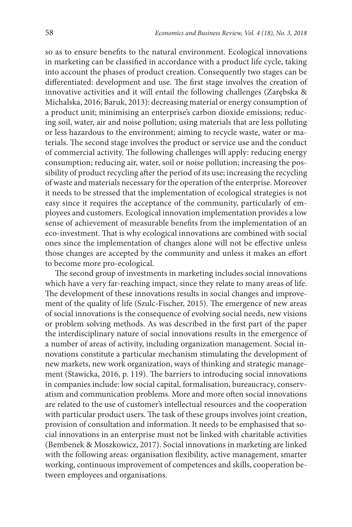so as to ensure benefits to the natural environment. Ecological innovations in marketing can be classified in accordance with a product life cycle, taking into account the phases of product creation. Consequently two stages can be differentiated: development and use. The first stage involves the creation of innovative activities and it will entail the following challenges (Zarębska & Michalska, 2016; Baruk, 2013): decreasing material or energy consumption of a product unit; minimising an enterprise's carbon dioxide emissions; reducing soil, water, air and noise pollution; using materials that are less polluting or less hazardous to the environment; aiming to recycle waste, water or materials. The second stage involves the product or service use and the conduct of commercial activity. The following challenges will apply: reducing energy consumption; reducing air, water, soil or noise pollution; increasing the possibility of product recycling after the period of its use; increasing the recycling of waste and materials necessary for the operation of the enterprise. Moreover it needs to be stressed that the implementation of ecological strategies is not easy since it requires the acceptance of the community, particularly of employees and customers. Ecological innovation implementation provides a low sense of achievement of measurable benefits from the implementation of an eco-investment. That is why ecological innovations are combined with social ones since the implementation of changes alone will not be effective unless those changes are accepted by the community and unless it makes an effort to become more pro-ecological.

The second group of investments in marketing includes social innovations which have a very far-reaching impact, since they relate to many areas of life. The development of these innovations results in social changes and improvement of the quality of life (Szulc-Fischer, 2015). The emergence of new areas of social innovations is the consequence of evolving social needs, new visions or problem solving methods. As was described in the first part of the paper the interdisciplinary nature of social innovations results in the emergence of a number of areas of activity, including organization management. Social innovations constitute a particular mechanism stimulating the development of new markets, new work organization, ways of thinking and strategic management (Stawicka, 2016, p. 119). The barriers to introducing social innovations in companies include: low social capital, formalisation, bureaucracy, conservatism and communication problems. More and more often social innovations are related to the use of customer's intellectual resources and the cooperation with particular product users. The task of these groups involves joint creation, provision of consultation and information. It needs to be emphasised that social innovations in an enterprise must not be linked with charitable activities (Bembenek & Moszkowicz, 2017). Social innovations in marketing are linked with the following areas: organisation flexibility, active management, smarter working, continuous improvement of competences and skills, cooperation between employees and organisations.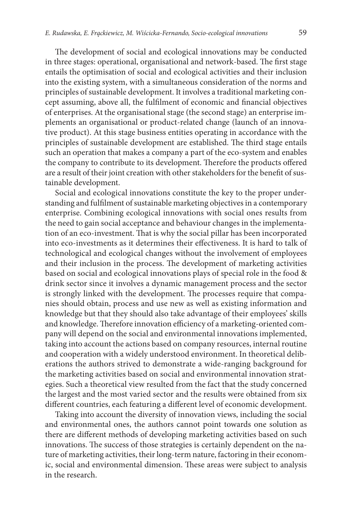The development of social and ecological innovations may be conducted in three stages: operational, organisational and network-based. The first stage entails the optimisation of social and ecological activities and their inclusion into the existing system, with a simultaneous consideration of the norms and principles of sustainable development. It involves a traditional marketing concept assuming, above all, the fulfilment of economic and financial objectives of enterprises. At the organisational stage (the second stage) an enterprise implements an organisational or product-related change (launch of an innovative product). At this stage business entities operating in accordance with the principles of sustainable development are established. The third stage entails such an operation that makes a company a part of the eco-system and enables the company to contribute to its development. Therefore the products offered are a result of their joint creation with other stakeholders for the benefit of sustainable development.

Social and ecological innovations constitute the key to the proper understanding and fulfilment of sustainable marketing objectives in a contemporary enterprise. Combining ecological innovations with social ones results from the need to gain social acceptance and behaviour changes in the implementation of an eco-investment. That is why the social pillar has been incorporated into eco-investments as it determines their effectiveness. It is hard to talk of technological and ecological changes without the involvement of employees and their inclusion in the process. The development of marketing activities based on social and ecological innovations plays of special role in the food & drink sector since it involves a dynamic management process and the sector is strongly linked with the development. The processes require that companies should obtain, process and use new as well as existing information and knowledge but that they should also take advantage of their employees' skills and knowledge. Therefore innovation efficiency of a marketing-oriented company will depend on the social and environmental innovations implemented, taking into account the actions based on company resources, internal routine and cooperation with a widely understood environment. In theoretical deliberations the authors strived to demonstrate a wide-ranging background for the marketing activities based on social and environmental innovation strategies. Such a theoretical view resulted from the fact that the study concerned the largest and the most varied sector and the results were obtained from six different countries, each featuring a different level of economic development.

Taking into account the diversity of innovation views, including the social and environmental ones, the authors cannot point towards one solution as there are different methods of developing marketing activities based on such innovations. The success of those strategies is certainly dependent on the nature of marketing activities, their long-term nature, factoring in their economic, social and environmental dimension. These areas were subject to analysis in the research.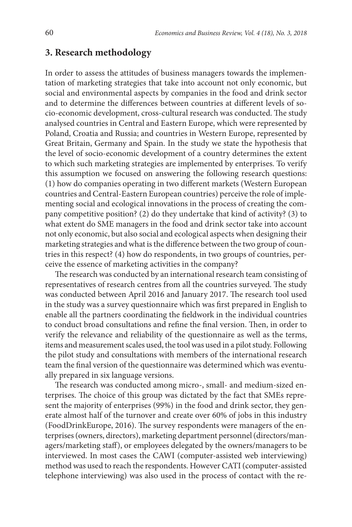# **3. Research methodology**

In order to assess the attitudes of business managers towards the implementation of marketing strategies that take into account not only economic, but social and environmental aspects by companies in the food and drink sector and to determine the differences between countries at different levels of socio-economic development, cross-cultural research was conducted. The study analysed countries in Central and Eastern Europe, which were represented by Poland, Croatia and Russia; and countries in Western Europe, represented by Great Britain, Germany and Spain. In the study we state the hypothesis that the level of socio-economic development of a country determines the extent to which such marketing strategies are implemented by enterprises. To verify this assumption we focused on answering the following research questions: (1) how do companies operating in two different markets (Western European countries and Central-Eastern European countries) perceive the role of implementing social and ecological innovations in the process of creating the company competitive position? (2) do they undertake that kind of activity? (3) to what extent do SME managers in the food and drink sector take into account not only economic, but also social and ecological aspects when designing their marketing strategies and what is the difference between the two group of countries in this respect? (4) how do respondents, in two groups of countries, perceive the essence of marketing activities in the company?

The research was conducted by an international research team consisting of representatives of research centres from all the countries surveyed. The study was conducted between April 2016 and January 2017. The research tool used in the study was a survey questionnaire which was first prepared in English to enable all the partners coordinating the fieldwork in the individual countries to conduct broad consultations and refine the final version. Then, in order to verify the relevance and reliability of the questionnaire as well as the terms, items and measurement scales used, the tool was used in a pilot study. Following the pilot study and consultations with members of the international research team the final version of the questionnaire was determined which was eventually prepared in six language versions.

The research was conducted among micro-, small- and medium-sized enterprises. The choice of this group was dictated by the fact that SMEs represent the majority of enterprises (99%) in the food and drink sector, they generate almost half of the turnover and create over 60% of jobs in this industry (FoodDrinkEurope, 2016). The survey respondents were managers of the enterprises (owners, directors), marketing department personnel (directors/managers/marketing staff), or employees delegated by the owners/managers to be interviewed. In most cases the CAWI (computer-assisted web interviewing) method was used to reach the respondents. However CATI (computer-assisted telephone interviewing) was also used in the process of contact with the re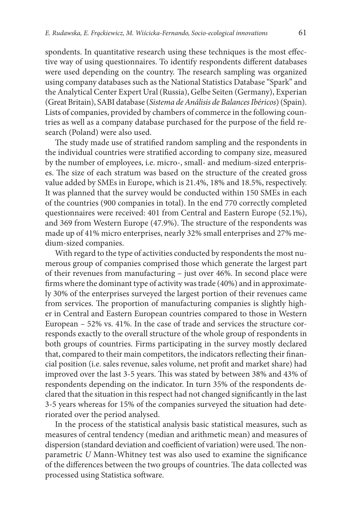spondents. In quantitative research using these techniques is the most effective way of using questionnaires. To identify respondents different databases were used depending on the country. The research sampling was organized using company databases such as the National Statistics Database "Spark" and the Analytical Center Expert Ural (Russia), Gelbe Seiten (Germany), Experian (Great Britain), SABI database (*Sistema de Análisis de Balances Ibéricos*) (Spain). Lists of companies, provided by chambers of commerce in the following countries as well as a company database purchased for the purpose of the field research (Poland) were also used.

The study made use of stratified random sampling and the respondents in the individual countries were stratified according to company size, measured by the number of employees, i.e. micro-, small- and medium-sized enterprises. The size of each stratum was based on the structure of the created gross value added by SMEs in Europe, which is 21.4%, 18% and 18.5%, respectively. It was planned that the survey would be conducted within 150 SMEs in each of the countries (900 companies in total). In the end 770 correctly completed questionnaires were received: 401 from Central and Eastern Europe (52.1%), and 369 from Western Europe (47.9%). The structure of the respondents was made up of 41% micro enterprises, nearly 32% small enterprises and 27% medium-sized companies.

With regard to the type of activities conducted by respondents the most numerous group of companies comprised those which generate the largest part of their revenues from manufacturing – just over 46%. In second place were firms where the dominant type of activity was trade (40%) and in approximately 30% of the enterprises surveyed the largest portion of their revenues came from services. The proportion of manufacturing companies is slightly higher in Central and Eastern European countries compared to those in Western European – 52% vs. 41%. In the case of trade and services the structure corresponds exactly to the overall structure of the whole group of respondents in both groups of countries. Firms participating in the survey mostly declared that, compared to their main competitors, the indicators reflecting their financial position (i.e. sales revenue, sales volume, net profit and market share) had improved over the last 3-5 years. This was stated by between 38% and 43% of respondents depending on the indicator. In turn 35% of the respondents declared that the situation in this respect had not changed significantly in the last 3-5 years whereas for 15% of the companies surveyed the situation had deteriorated over the period analysed.

In the process of the statistical analysis basic statistical measures, such as measures of central tendency (median and arithmetic mean) and measures of dispersion (standard deviation and coefficient of variation) were used. The nonparametric *U* Mann-Whitney test was also used to examine the significance of the differences between the two groups of countries. The data collected was processed using Statistica software.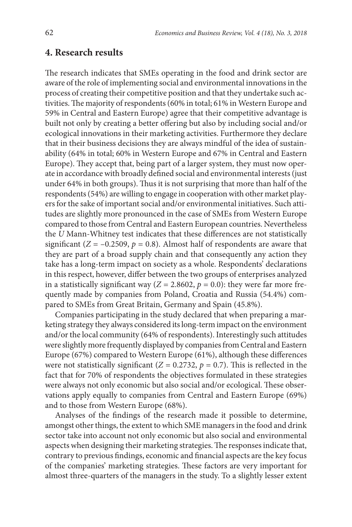### **4. Research results**

The research indicates that SMEs operating in the food and drink sector are aware of the role of implementing social and environmental innovations in the process of creating their competitive position and that they undertake such activities. The majority of respondents (60% in total; 61% in Western Europe and 59% in Central and Eastern Europe) agree that their competitive advantage is built not only by creating a better offering but also by including social and/or ecological innovations in their marketing activities. Furthermore they declare that in their business decisions they are always mindful of the idea of sustainability (64% in total; 60% in Western Europe and 67% in Central and Eastern Europe). They accept that, being part of a larger system, they must now operate in accordance with broadly defined social and environmental interests (just under 64% in both groups). Thus it is not surprising that more than half of the respondents (54%) are willing to engage in cooperation with other market players for the sake of important social and/or environmental initiatives. Such attitudes are slightly more pronounced in the case of SMEs from Western Europe compared to those from Central and Eastern European countries. Nevertheless the *U* Mann-Whitney test indicates that these differences are not statistically significant ( $Z = -0.2509$ ,  $p = 0.8$ ). Almost half of respondents are aware that they are part of a broad supply chain and that consequently any action they take has a long-term impact on society as a whole. Respondents' declarations in this respect, however, differ between the two groups of enterprises analyzed in a statistically significant way ( $Z = 2.8602$ ,  $p = 0.0$ ): they were far more frequently made by companies from Poland, Croatia and Russia (54.4%) compared to SMEs from Great Britain, Germany and Spain (45.8%).

Companies participating in the study declared that when preparing a marketing strategy they always considered its long-term impact on the environment and/or the local community (64% of respondents). Interestingly such attitudes were slightly more frequently displayed by companies from Central and Eastern Europe (67%) compared to Western Europe (61%), although these differences were not statistically significant  $(Z = 0.2732, p = 0.7)$ . This is reflected in the fact that for 70% of respondents the objectives formulated in these strategies were always not only economic but also social and/or ecological. These observations apply equally to companies from Central and Eastern Europe (69%) and to those from Western Europe (68%).

Analyses of the findings of the research made it possible to determine, amongst other things, the extent to which SME managers in the food and drink sector take into account not only economic but also social and environmental aspects when designing their marketing strategies. The responses indicate that, contrary to previous findings, economic and financial aspects are the key focus of the companies' marketing strategies. These factors are very important for almost three-quarters of the managers in the study. To a slightly lesser extent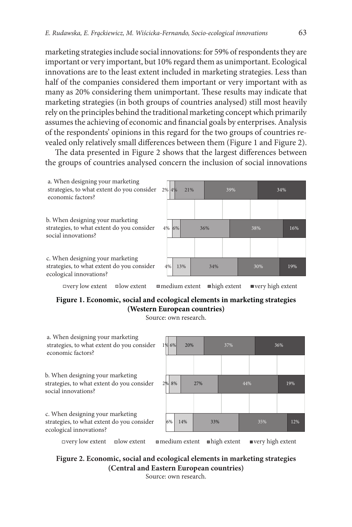marketing strategies include social innovations: for 59% of respondents they are important or very important, but 10% regard them as unimportant. Ecological innovations are to the least extent included in marketing strategies. Less than half of the companies considered them important or very important with as many as 20% considering them unimportant. These results may indicate that marketing strategies (in both groups of countries analysed) still most heavily rely on the principles behind the traditional marketing concept which primarily assumes the achieving of economic and financial goals by enterprises. Analysis of the respondents' opinions in this regard for the two groups of countries revealed only relatively small differences between them (Figure 1 and Figure 2).

The data presented in Figure 2 shows that the largest differences between the groups of countries analysed concern the inclusion of social innovations



### **Figure 1. Economic, social and ecological elements in marketing strategies (Western European countries)**

Source: own research.



### **Figure 2. Economic, social and ecological elements in marketing strategies (Central and Eastern European countries)**

Source: own research.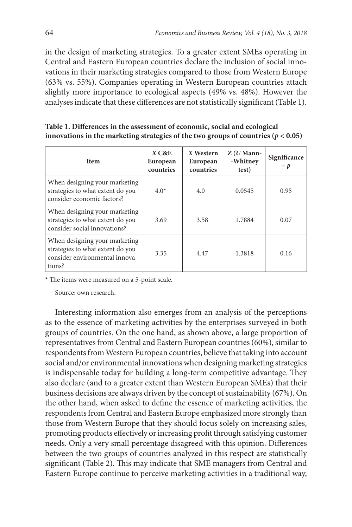in the design of marketing strategies. To a greater extent SMEs operating in Central and Eastern European countries declare the inclusion of social innovations in their marketing strategies compared to those from Western Europe (63% vs. 55%). Companies operating in Western European countries attach slightly more importance to ecological aspects (49% vs. 48%). However the analyses indicate that these differences are not statistically significant (Table 1).

| Table 1. Differences in the assessment of economic, social and ecological             |
|---------------------------------------------------------------------------------------|
| innovations in the marketing strategies of the two groups of countries ( $p < 0.05$ ) |

| <b>Item</b>                                                                                                   | $X C\& E$<br>European<br>countries | X Western<br>European<br>countries | $Z(U$ Mann-<br>-Whitney<br>test) | Significance<br>$-p$ |
|---------------------------------------------------------------------------------------------------------------|------------------------------------|------------------------------------|----------------------------------|----------------------|
| When designing your marketing<br>strategies to what extent do you<br>consider economic factors?               | $4.0*$                             | 4.0                                | 0.0545                           | 0.95                 |
| When designing your marketing<br>strategies to what extent do you<br>consider social innovations?             | 3.69                               | 3.58                               | 1.7884                           | 0.07                 |
| When designing your marketing<br>strategies to what extent do you<br>consider environmental innova-<br>tions? | 3.35                               | 4.47                               | $-1.3818$                        | 0.16                 |

\* The items were measured on a 5-point scale.

Source: own research.

Interesting information also emerges from an analysis of the perceptions as to the essence of marketing activities by the enterprises surveyed in both groups of countries. On the one hand, as shown above, a large proportion of representatives from Central and Eastern European countries (60%), similar to respondents from Western European countries, believe that taking into account social and/or environmental innovations when designing marketing strategies is indispensable today for building a long-term competitive advantage. They also declare (and to a greater extent than Western European SMEs) that their business decisions are always driven by the concept of sustainability (67%). On the other hand, when asked to define the essence of marketing activities, the respondents from Central and Eastern Europe emphasized more strongly than those from Western Europe that they should focus solely on increasing sales, promoting products effectively or increasing profit through satisfying customer needs. Only a very small percentage disagreed with this opinion. Differences between the two groups of countries analyzed in this respect are statistically significant (Table 2). This may indicate that SME managers from Central and Eastern Europe continue to perceive marketing activities in a traditional way,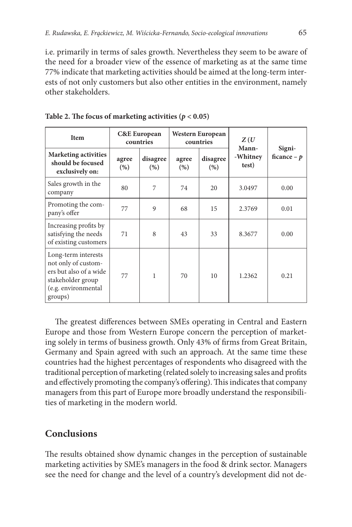i.e. primarily in terms of sales growth. Nevertheless they seem to be aware of the need for a broader view of the essence of marketing as at the same time 77% indicate that marketing activities should be aimed at the long-term interests of not only customers but also other entities in the environment, namely other stakeholders.

| Item                                                                                                                        | <b>C&amp;E</b> European<br>countries |                  | Western European<br>countries |                  | Z(U)<br>Mann-     |                        |
|-----------------------------------------------------------------------------------------------------------------------------|--------------------------------------|------------------|-------------------------------|------------------|-------------------|------------------------|
| <b>Marketing activities</b><br>should be focused<br>exclusively on:                                                         | agree<br>(% )                        | disagree<br>(% ) | agree<br>(%)                  | disagree<br>(% ) | -Whitney<br>test) | Signi-<br>ficance $-p$ |
| Sales growth in the<br>company                                                                                              | 80                                   | 7                | 74                            | 20               | 3.0497            | 0.00                   |
| Promoting the com-<br>pany's offer                                                                                          | 77                                   | 9                | 68                            | 15               | 2.3769            | 0.01                   |
| Increasing profits by<br>satisfying the needs<br>of existing customers                                                      | 71                                   | 8                | 43                            | 33               | 8.3677            | 0.00                   |
| Long-term interests<br>not only of custom-<br>ers but also of a wide<br>stakeholder group<br>(e.g. environmental<br>groups) | 77                                   | 1                | 70                            | 10               | 1.2362            | 0.21                   |

Table 2. The focus of marketing activities  $(p < 0.05)$ 

The greatest differences between SMEs operating in Central and Eastern Europe and those from Western Europe concern the perception of marketing solely in terms of business growth. Only 43% of firms from Great Britain, Germany and Spain agreed with such an approach. At the same time these countries had the highest percentages of respondents who disagreed with the traditional perception of marketing (related solely to increasing sales and profits and effectively promoting the company's offering). This indicates that company managers from this part of Europe more broadly understand the responsibilities of marketing in the modern world.

### **Conclusions**

The results obtained show dynamic changes in the perception of sustainable marketing activities by SME's managers in the food & drink sector. Managers see the need for change and the level of a country's development did not de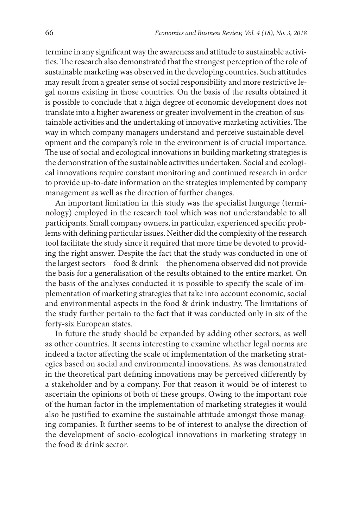termine in any significant way the awareness and attitude to sustainable activities. The research also demonstrated that the strongest perception of the role of sustainable marketing was observed in the developing countries. Such attitudes may result from a greater sense of social responsibility and more restrictive legal norms existing in those countries. On the basis of the results obtained it is possible to conclude that a high degree of economic development does not translate into a higher awareness or greater involvement in the creation of sustainable activities and the undertaking of innovative marketing activities. The way in which company managers understand and perceive sustainable development and the company's role in the environment is of crucial importance. The use of social and ecological innovations in building marketing strategies is the demonstration of the sustainable activities undertaken. Social and ecological innovations require constant monitoring and continued research in order to provide up-to-date information on the strategies implemented by company management as well as the direction of further changes.

An important limitation in this study was the specialist language (terminology) employed in the research tool which was not understandable to all participants. Small company owners, in particular, experienced specific problems with defining particular issues. Neither did the complexity of the research tool facilitate the study since it required that more time be devoted to providing the right answer. Despite the fact that the study was conducted in one of the largest sectors – food & drink – the phenomena observed did not provide the basis for a generalisation of the results obtained to the entire market. On the basis of the analyses conducted it is possible to specify the scale of implementation of marketing strategies that take into account economic, social and environmental aspects in the food & drink industry. The limitations of the study further pertain to the fact that it was conducted only in six of the forty-six European states.

In future the study should be expanded by adding other sectors, as well as other countries. It seems interesting to examine whether legal norms are indeed a factor affecting the scale of implementation of the marketing strategies based on social and environmental innovations. As was demonstrated in the theoretical part defining innovations may be perceived differently by a stakeholder and by a company. For that reason it would be of interest to ascertain the opinions of both of these groups. Owing to the important role of the human factor in the implementation of marketing strategies it would also be justified to examine the sustainable attitude amongst those managing companies. It further seems to be of interest to analyse the direction of the development of socio-ecological innovations in marketing strategy in the food & drink sector.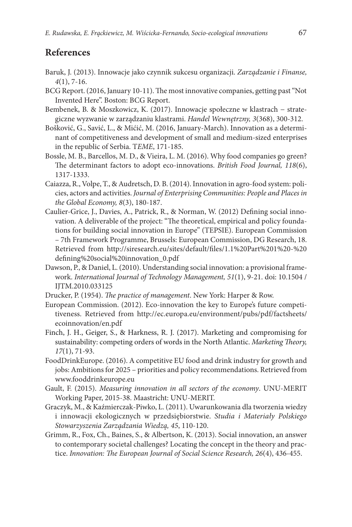# **References**

- Baruk, J. (2013). Innowacje jako czynnik sukcesu organizacji. *Zarządzanie i Finanse, 4*(1), 7-16.
- BCG Report. (2016, January 10-11). The most innovative companies, getting past "Not Invented Here". Boston: BCG Report.
- Bembenek, B. & Moszkowicz, K. (2017). Innowacje społeczne w klastrach − strategiczne wyzwanie w zarządzaniu klastrami. *Handel Wewnętrzny, 3*(368), 300-312.
- Bošković, G., Savić, L., & Mićić, M. (2016, January-March). Innovation as a determinant of competitiveness and development of small and medium-sized enterprises in the republic of Serbia. Т*EME*, 171-185.
- Bossle, M. B., Barcellos, M. D., & Vieira, L. M. (2016). Why food companies go green? The determinant factors to adopt eco-innovations. *British Food Journal, 118*(6), 1317-1333.
- Caiazza, R., Volpe, T., & Audretsch, D. B. (2014). Innovation in agro-food system: policies, actors and activities. *Journal of Enterprising Communities: People and Places in the Global Economy, 8*(3), 180-187.
- Caulier-Grice, J., Davies, A., Patrick, R., & Norman, W. (2012) Defining social innovation. A deliverable of the project: "The theoretical, empirical and policy foundations for building social innovation in Europe" (TEPSIE). European Commission – 7th Framework Programme, Brussels: European Commission, DG Research, 18. Retrieved from http://siresearch.eu/sites/default/files/1.1%20Part%201%20-%20 defining%20social%20innovation\_0.pdf
- Dawson, P., & Daniel, L. (2010). Understanding social innovation: a provisional framework. *International Journal of Technology Management, 51*(1), 9-21. doi: 10.1504 / IJTM.2010.033125
- Drucker, P. (1954). *The practice of management*. New York: Harper & Row.
- European Commission. (2012). Eco-innovation the key to Europe's future competitiveness. Retrieved from http://ec.europa.eu/environment/pubs/pdf/factsheets/ ecoinnovation/en.pdf
- Finch, J. H., Geiger, S., & Harkness, R. J. (2017). Marketing and compromising for sustainability: competing orders of words in the North Atlantic. *Marketing Theory, 17*(1), 71-93.
- FoodDrinkEurope. (2016). A competitive EU food and drink industry for growth and jobs: Ambitions for 2025 – priorities and policy recommendations. Retrieved from [www.fooddrinkeurope.eu](http://www.fooddrinkeurope.eu)
- Gault, F. (2015). *Measuring innovation in all sectors of the economy*. UNU-MERIT Working Paper, 2015-38. Maastricht: UNU-MERIT.
- Graczyk, M., & Kaźmierczak-Piwko, L. (2011). Uwarunkowania dla tworzenia wiedzy i innowacji ekologicznych w przedsiębiorstwie. *Studia i Materiały Polskiego Stowarzyszenia Zarządzania Wiedzą, 45*, 110-120.
- Grimm, R., Fox, Ch., Baines, S., & Albertson, K. (2013). Social innovation, an answer to contemporary societal challenges? Locating the concept in the theory and practice. *Innovation: The European Journal of Social Science Research, 26*(4), 436-455.